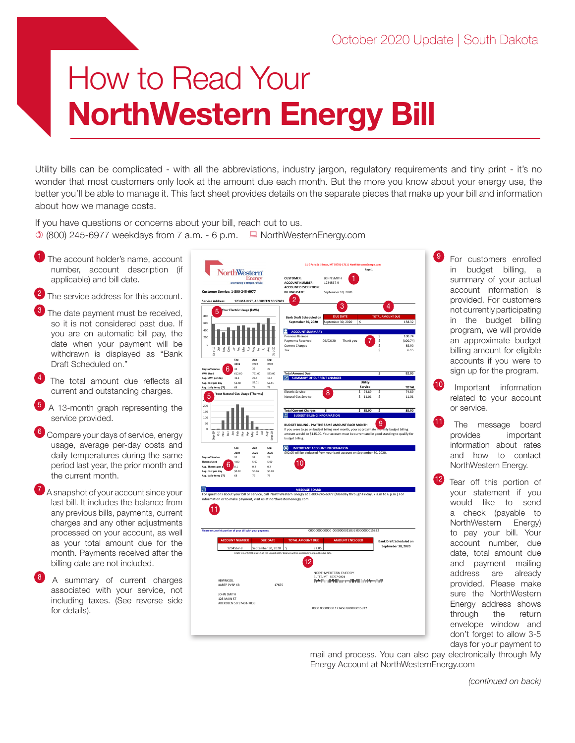## How to Read Your NorthWestern Energy Bill

Utility bills can be complicated - with all the abbreviations, industry jargon, regulatory requirements and tiny print - it's no wonder that most customers only look at the amount due each month. But the more you know about your energy use, the better you'll be able to manage it. This fact sheet provides details on the separate pieces that make up your bill and information about how we manage costs.

If you have questions or concerns about your bill, reach out to us.  $(0.800)$  245-6977 weekdays from 7 a.m. - 6 p.m.  $\Box$  NorthWesternEnergy.com

- The account holder's name, account number, account description (if applicable) and bill date.
- The service address for this account.
- The date payment must be received, so it is not considered past due. If you are on automatic bill pay, the date when your payment will be withdrawn is displayed as "Bank Draft Scheduled on."
- The total amount due reflects all current and outstanding charges.
- <sup>5</sup> A 13-month graph representing the service provided.
- <sup>6</sup> Compare your days of service, energy usage, average per-day costs and daily temperatures during the same period last year, the prior month and the current month.
- A snapshot of your account since your last bill. It includes the balance from any previous bills, payments, current charges and any other adjustments processed on your account, as well as your total amount due for the month. Payments received after the billing date are not included.
- A summary of current charges associated with your service, not including taxes. (See reverse side for details).

| orthWestern                                                                                                                            |                                                                            |                                                                                                                        | 11 E Park St   Butte, MT 59701-1711   NorthWesternEnergy.com                        | Page 1                |                                                      |                                     |
|----------------------------------------------------------------------------------------------------------------------------------------|----------------------------------------------------------------------------|------------------------------------------------------------------------------------------------------------------------|-------------------------------------------------------------------------------------|-----------------------|------------------------------------------------------|-------------------------------------|
| <b>Delivering a Bright F</b>                                                                                                           | Energ                                                                      | <b>CUSTOMER:</b><br><b>ACCOUNT NUMBER:</b>                                                                             | JOHN SMITH<br>1234567-9                                                             |                       |                                                      |                                     |
| <b>Customer Service: 1-800-245-6977</b>                                                                                                |                                                                            | <b>ACCOUNT DESCRIPTION:</b><br><b>BILLING DATE:</b>                                                                    | September 10, 2020                                                                  |                       |                                                      |                                     |
| <b>Service Address:</b>                                                                                                                | 123 MAIN ST, ABERDEEN SD 57401                                             |                                                                                                                        |                                                                                     |                       |                                                      |                                     |
| 'our Electric Usage (kWh)<br>5                                                                                                         |                                                                            |                                                                                                                        | 3                                                                                   |                       | 4                                                    |                                     |
| 800<br>600                                                                                                                             |                                                                            | <b>Bank Draft Scheduled on</b><br>Septmeber 30, 2020                                                                   | <b>DUE DATE</b><br>September 30, 2020                                               | Ś                     | <b>TOTAL AMOUNT DUE</b>                              | 158.32                              |
| 400<br>200<br>$\mathbf{0}$<br>ρ<br>ä<br>ğ<br>$\frac{5}{6}$<br>å<br>š<br>ğ<br>ğ<br>$\frac{b}{3}$                                        | <b>A</b><br><b>A</b><br><b>A</b><br><b>A</b><br><b>A</b><br>x <sub>0</sub> | <b>ACCOUNT SUMMARY</b><br>Previous Balance<br>Payments Received<br><b>Current Charges</b><br>Tax                       | 09/02/20<br>Thank you                                                               |                       | s<br>Ś<br>\$<br>¢                                    | 100.74<br>(100.74)<br>85.90<br>6.15 |
| Sep<br>2019                                                                                                                            | Sep<br>Aug<br>2020<br>2020                                                 |                                                                                                                        |                                                                                     |                       |                                                      |                                     |
| Days of Service<br>$\overline{3}$<br>612.00<br>kWh Used                                                                                | 32<br>29<br>751.00<br>533.00                                               | <b>Total Amount Due</b>                                                                                                |                                                                                     |                       | š                                                    | 92.05                               |
| Avg. kWh per day<br>19.1                                                                                                               | 23.5<br>18.4                                                               | <b>SUMMARY OF CURRENT CHARGES</b>                                                                                      |                                                                                     |                       |                                                      |                                     |
| Avg. cost per day<br>\$2.40<br>Avg. daily temp ('F)<br>68                                                                              | \$2.51<br>\$3.01<br>74<br>$72$                                             |                                                                                                                        |                                                                                     | Utility<br>Service    |                                                      | <b>TOTAL</b>                        |
| Your Natural Gas Usage (Therms)<br>5<br>200                                                                                            |                                                                            | <b>Electric Service</b><br>Natural Gas Service                                                                         |                                                                                     | \$74.89<br>⋖<br>11.01 | Ś<br>Ś                                               | 74.89<br>11.01                      |
| 150                                                                                                                                    |                                                                            | <b>Total Current Charges</b>                                                                                           | Ś                                                                                   | \$85.90               | $\overline{\phantom{a}}$                             | 85.90                               |
| 100                                                                                                                                    |                                                                            | <b>BUDGET BILLING INFORMATION</b>                                                                                      |                                                                                     |                       | g                                                    |                                     |
| 50<br>$\mathbf 0$                                                                                                                      |                                                                            | BUDGET BILLING - PAY THE SAME AMOUNT EACH MONTH<br>If you were to go on budget billing next month, your approximate in |                                                                                     |                       | thly budget billing                                  |                                     |
| $x_{9} - 19$<br>ă<br>$\frac{6}{3}$<br>feb<br>g<br>ğ<br>Mar<br>ÀÞ                                                                       | $\frac{c}{2}$<br>5e <sub>0</sub><br>$\Xi$<br>Aug<br>May                    | amount would be \$145.00. Your account must be current and in good standing to qualify for<br>budget billing.          |                                                                                     |                       |                                                      |                                     |
| Seo<br>2019                                                                                                                            | Aug<br>Sep<br>2020<br>2020                                                 | <b>IMPORTANT ACCOUNT INFORMATION</b><br>\$92.05 will be deducted from your bank account on September 30, 2020.         |                                                                                     |                       |                                                      |                                     |
| Days of Service<br>32<br><b>Therms Used</b><br>4 <sub>no</sub>                                                                         | 29<br>32<br>5.00<br>5.00                                                   |                                                                                                                        |                                                                                     |                       |                                                      |                                     |
| Avg. Therms per d<br>0.1<br>Avg. cost per day<br>\$0.32                                                                                | 0.2<br>0.2<br>\$0.36<br>\$0.38                                             |                                                                                                                        |                                                                                     |                       |                                                      |                                     |
| Avg. daily temp ('F)<br>68                                                                                                             | 75<br>73                                                                   |                                                                                                                        |                                                                                     |                       |                                                      |                                     |
|                                                                                                                                        |                                                                            |                                                                                                                        |                                                                                     |                       |                                                      |                                     |
| ព<br>For questions about your bill or service, call NorthWestern Energy at 1-800-245-6977 (Monday through Friday, 7 a.m to 6 p.m.) For |                                                                            | <b>MESSAGE BOARD</b>                                                                                                   |                                                                                     |                       |                                                      |                                     |
| information or to make payment, visit us at northwesternenergy.com.<br>Please return this portion of your bill with your payment.      |                                                                            |                                                                                                                        | 0000000000000 0000000015832 0000000015832                                           |                       |                                                      |                                     |
|                                                                                                                                        |                                                                            |                                                                                                                        |                                                                                     |                       |                                                      |                                     |
| <b>ACCOUNT NUMBER</b><br>1234567-8                                                                                                     | <b>DUE DATE</b><br>September 30, 2020                                      | <b>TOTAL AMOUNT DUE</b><br>\$<br>92.05                                                                                 | <b>AMOUNT ENCLOSED</b>                                                              |                       | <b>Bank Draft Scheduled on</b><br>Septmeber 30, 2020 |                                     |
|                                                                                                                                        |                                                                            | A late fee of \$2.00 plus 1% of the unpaid utility balance will be assessed if not paid by due date.                   |                                                                                     |                       |                                                      |                                     |
| #BWNKJDL<br>#ARTP PVSP X8                                                                                                              | 17655                                                                      | 2                                                                                                                      | NORTHWESTERN ENERGY<br>BUTTE, MT 59707-0001<br>PrhillingHillMannen@htMahatcheerball |                       |                                                      |                                     |
| JOHN SMITH<br>123 MAIN ST<br>ABERDEEN SD 57401-7033                                                                                    |                                                                            |                                                                                                                        | 0000 00000000 12345678 0000015832                                                   |                       |                                                      |                                     |

<sup>9</sup> For customers enrolled in budget billing, a summary of your actual account information is provided. For customers not currently participating in the budget billing program, we will provide an approximate budget billing amount for eligible accounts if you were to sign up for the program.

- Important information related to your account or service.
- The message board provides important information about rates and how to contact NorthWestern Energy.
- <sup>12</sup> Tear off this portion of your statement if you would like to send a check (payable to NorthWestern Energy) to pay your bill. Your account number, due date, total amount due and payment mailing address are already provided. Please make sure the NorthWestern Energy address shows through the return envelope window and don't forget to allow 3-5 days for your payment to

mail and process. You can also pay electronically through My Energy Account at NorthWesternEnergy.com

*(continued on back)*